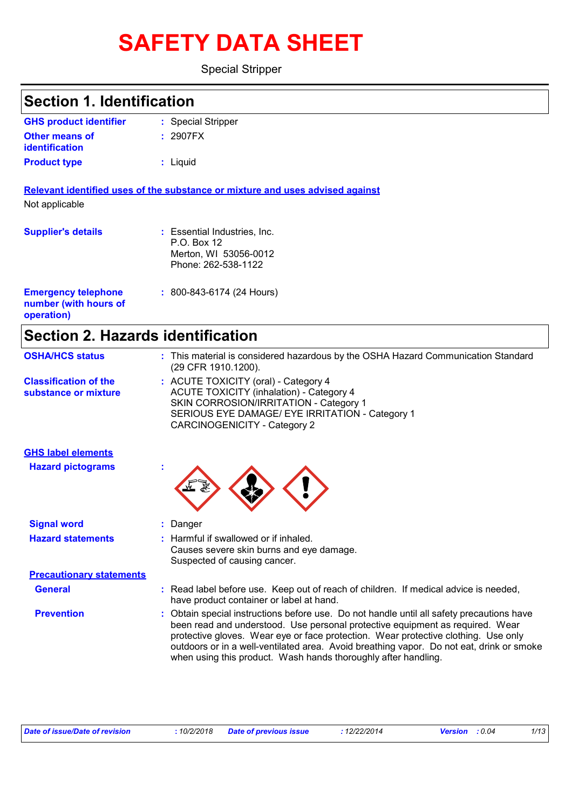# **SAFETY DATA SHEET**

Special Stripper

| <b>Section 1. Identification</b>                                  |                                                                                                                                                                                                                                                                  |  |  |
|-------------------------------------------------------------------|------------------------------------------------------------------------------------------------------------------------------------------------------------------------------------------------------------------------------------------------------------------|--|--|
| <b>GHS product identifier</b>                                     | : Special Stripper                                                                                                                                                                                                                                               |  |  |
| Other means of<br><b>identification</b>                           | : 2907FX                                                                                                                                                                                                                                                         |  |  |
| <b>Product type</b>                                               | : Liquid                                                                                                                                                                                                                                                         |  |  |
|                                                                   | Relevant identified uses of the substance or mixture and uses advised against                                                                                                                                                                                    |  |  |
| Not applicable                                                    |                                                                                                                                                                                                                                                                  |  |  |
| <b>Supplier's details</b>                                         | : Essential Industries, Inc.<br>P.O. Box 12<br>Merton, WI 53056-0012<br>Phone: 262-538-1122                                                                                                                                                                      |  |  |
| <b>Emergency telephone</b><br>number (with hours of<br>operation) | $: 800 - 843 - 6174 (24$ Hours)                                                                                                                                                                                                                                  |  |  |
|                                                                   | <b>Section 2. Hazards identification</b>                                                                                                                                                                                                                         |  |  |
| <b>OSHA/HCS status</b>                                            | : This material is considered hazardous by the OSHA Hazard Communication Standard<br>(29 CFR 1910.1200).                                                                                                                                                         |  |  |
| <b>Classification of the</b><br>substance or mixture              | : ACUTE TOXICITY (oral) - Category 4<br><b>ACUTE TOXICITY (inhalation) - Category 4</b><br>SKIN CORROSION/IRRITATION - Category 1<br>SERIOUS EYE DAMAGE/ EYE IRRITATION - Category 1<br><b>CARCINOGENICITY - Category 2</b>                                      |  |  |
| <b>GHS label elements</b>                                         |                                                                                                                                                                                                                                                                  |  |  |
| <b>Hazard pictograms</b>                                          |                                                                                                                                                                                                                                                                  |  |  |
| <b>Signal word</b>                                                | : Danger                                                                                                                                                                                                                                                         |  |  |
| <b>Hazard statements</b>                                          | : Harmful if swallowed or if inhaled.<br>Causes severe skin burns and eye damage.<br>Suspected of causing cancer.                                                                                                                                                |  |  |
| <b>Precautionary statements</b>                                   |                                                                                                                                                                                                                                                                  |  |  |
| <b>General</b>                                                    | : Read label before use. Keep out of reach of children. If medical advice is needed,<br>have product container or label at hand.                                                                                                                                 |  |  |
| <b>Prevention</b>                                                 | : Obtain special instructions before use. Do not handle until all safety precautions have<br>been read and understood. Use personal protective equipment as required. Wear<br>protective gloves. Wear eye or face protection. Wear protective clothing. Use only |  |  |

when using this product. Wash hands thoroughly after handling.

outdoors or in a well-ventilated area. Avoid breathing vapor. Do not eat, drink or smoke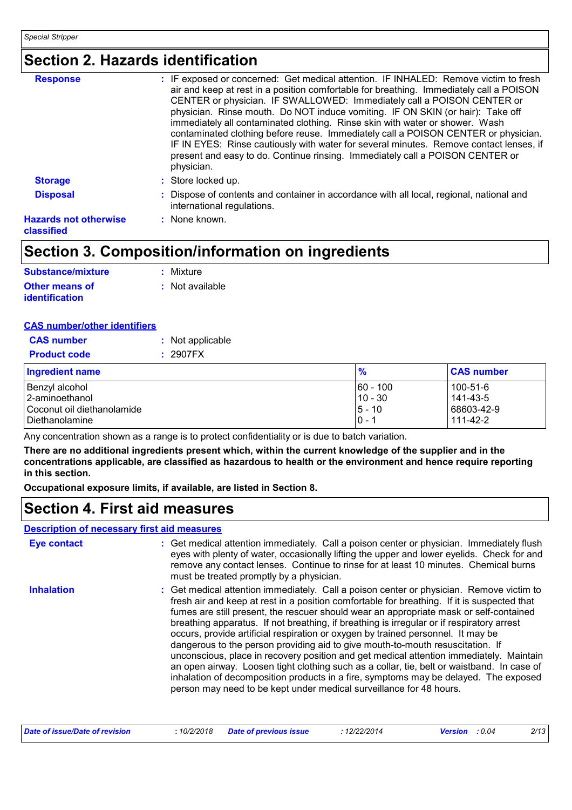### **Section 2. Hazards identification**

| <b>Response</b>                            | : IF exposed or concerned: Get medical attention. IF INHALED: Remove victim to fresh<br>air and keep at rest in a position comfortable for breathing. Immediately call a POISON<br>CENTER or physician. IF SWALLOWED: Immediately call a POISON CENTER or<br>physician. Rinse mouth. Do NOT induce vomiting. IF ON SKIN (or hair): Take off<br>immediately all contaminated clothing. Rinse skin with water or shower. Wash<br>contaminated clothing before reuse. Immediately call a POISON CENTER or physician.<br>IF IN EYES: Rinse cautiously with water for several minutes. Remove contact lenses, if<br>present and easy to do. Continue rinsing. Immediately call a POISON CENTER or<br>physician. |
|--------------------------------------------|------------------------------------------------------------------------------------------------------------------------------------------------------------------------------------------------------------------------------------------------------------------------------------------------------------------------------------------------------------------------------------------------------------------------------------------------------------------------------------------------------------------------------------------------------------------------------------------------------------------------------------------------------------------------------------------------------------|
| <b>Storage</b>                             | : Store locked up.                                                                                                                                                                                                                                                                                                                                                                                                                                                                                                                                                                                                                                                                                         |
| <b>Disposal</b>                            | : Dispose of contents and container in accordance with all local, regional, national and<br>international regulations.                                                                                                                                                                                                                                                                                                                                                                                                                                                                                                                                                                                     |
| <b>Hazards not otherwise</b><br>classified | : None known.                                                                                                                                                                                                                                                                                                                                                                                                                                                                                                                                                                                                                                                                                              |

### **Section 3. Composition/information on ingredients**

| <b>Substance/mixture</b> | : Mixture       |
|--------------------------|-----------------|
| Other means of           | : Not available |
| <b>identification</b>    |                 |

#### **CAS number/other identifiers**

| <b>CAS number</b>          | : Not applicable |               |                   |
|----------------------------|------------------|---------------|-------------------|
| <b>Product code</b>        | : 2907FX         |               |                   |
| Ingredient name            |                  | $\frac{9}{6}$ | <b>CAS number</b> |
| Benzyl alcohol             |                  | 160 - 100     | 100-51-6          |
| 12-aminoethanol            |                  | 10 - 30       | 141-43-5          |
| Coconut oil diethanolamide |                  | $5 - 10$      | 68603-42-9        |
| <b>I</b> Diethanolamine    |                  | IO - 1        | 111-42-2          |

Any concentration shown as a range is to protect confidentiality or is due to batch variation.

**There are no additional ingredients present which, within the current knowledge of the supplier and in the concentrations applicable, are classified as hazardous to health or the environment and hence require reporting in this section.**

**Occupational exposure limits, if available, are listed in Section 8.**

### **Section 4. First aid measures**

#### **Description of necessary first aid measures**

| <b>Eye contact</b> | : Get medical attention immediately. Call a poison center or physician. Immediately flush<br>eyes with plenty of water, occasionally lifting the upper and lower eyelids. Check for and<br>remove any contact lenses. Continue to rinse for at least 10 minutes. Chemical burns<br>must be treated promptly by a physician.                                                                                                                                                                                                                                                                                                                                                                                                                                                                                                                                                                                  |
|--------------------|--------------------------------------------------------------------------------------------------------------------------------------------------------------------------------------------------------------------------------------------------------------------------------------------------------------------------------------------------------------------------------------------------------------------------------------------------------------------------------------------------------------------------------------------------------------------------------------------------------------------------------------------------------------------------------------------------------------------------------------------------------------------------------------------------------------------------------------------------------------------------------------------------------------|
| <b>Inhalation</b>  | : Get medical attention immediately. Call a poison center or physician. Remove victim to<br>fresh air and keep at rest in a position comfortable for breathing. If it is suspected that<br>fumes are still present, the rescuer should wear an appropriate mask or self-contained<br>breathing apparatus. If not breathing, if breathing is irregular or if respiratory arrest<br>occurs, provide artificial respiration or oxygen by trained personnel. It may be<br>dangerous to the person providing aid to give mouth-to-mouth resuscitation. If<br>unconscious, place in recovery position and get medical attention immediately. Maintain<br>an open airway. Loosen tight clothing such as a collar, tie, belt or waistband. In case of<br>inhalation of decomposition products in a fire, symptoms may be delayed. The exposed<br>person may need to be kept under medical surveillance for 48 hours. |

| Date of issue/Date of revision | : 10/2/2018 Date of previous issue | : 12/22/2014 | <b>Version</b> : 0.04 | 2/13 |
|--------------------------------|------------------------------------|--------------|-----------------------|------|
|--------------------------------|------------------------------------|--------------|-----------------------|------|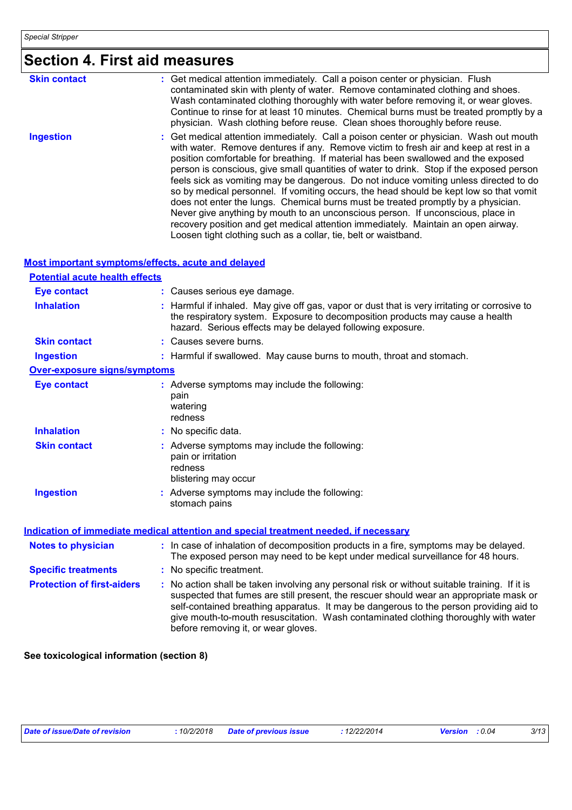## **Section 4. First aid measures**

| <b>Skin contact</b> | : Get medical attention immediately. Call a poison center or physician. Flush<br>contaminated skin with plenty of water. Remove contaminated clothing and shoes.<br>Wash contaminated clothing thoroughly with water before removing it, or wear gloves.<br>Continue to rinse for at least 10 minutes. Chemical burns must be treated promptly by a<br>physician. Wash clothing before reuse. Clean shoes thoroughly before reuse.                                                                                                                                                                                                                                                                                                                                                                                                                                                  |
|---------------------|-------------------------------------------------------------------------------------------------------------------------------------------------------------------------------------------------------------------------------------------------------------------------------------------------------------------------------------------------------------------------------------------------------------------------------------------------------------------------------------------------------------------------------------------------------------------------------------------------------------------------------------------------------------------------------------------------------------------------------------------------------------------------------------------------------------------------------------------------------------------------------------|
| <b>Ingestion</b>    | : Get medical attention immediately. Call a poison center or physician. Wash out mouth<br>with water. Remove dentures if any. Remove victim to fresh air and keep at rest in a<br>position comfortable for breathing. If material has been swallowed and the exposed<br>person is conscious, give small quantities of water to drink. Stop if the exposed person<br>feels sick as vomiting may be dangerous. Do not induce vomiting unless directed to do<br>so by medical personnel. If vomiting occurs, the head should be kept low so that vomit<br>does not enter the lungs. Chemical burns must be treated promptly by a physician.<br>Never give anything by mouth to an unconscious person. If unconscious, place in<br>recovery position and get medical attention immediately. Maintain an open airway.<br>Loosen tight clothing such as a collar, tie, belt or waistband. |

#### **Most important symptoms/effects, acute and delayed**

| <b>Potential acute health effects</b> |                                                                                                                                                                                                                                                                                                                                                                                                                 |
|---------------------------------------|-----------------------------------------------------------------------------------------------------------------------------------------------------------------------------------------------------------------------------------------------------------------------------------------------------------------------------------------------------------------------------------------------------------------|
| <b>Eye contact</b>                    | : Causes serious eye damage.                                                                                                                                                                                                                                                                                                                                                                                    |
| <b>Inhalation</b>                     | : Harmful if inhaled. May give off gas, vapor or dust that is very irritating or corrosive to<br>the respiratory system. Exposure to decomposition products may cause a health<br>hazard. Serious effects may be delayed following exposure.                                                                                                                                                                    |
| <b>Skin contact</b>                   | : Causes severe burns.                                                                                                                                                                                                                                                                                                                                                                                          |
| <b>Ingestion</b>                      | : Harmful if swallowed. May cause burns to mouth, throat and stomach.                                                                                                                                                                                                                                                                                                                                           |
| <b>Over-exposure signs/symptoms</b>   |                                                                                                                                                                                                                                                                                                                                                                                                                 |
| <b>Eye contact</b>                    | : Adverse symptoms may include the following:<br>pain<br>watering<br>redness                                                                                                                                                                                                                                                                                                                                    |
| <b>Inhalation</b>                     | : No specific data.                                                                                                                                                                                                                                                                                                                                                                                             |
| <b>Skin contact</b>                   | : Adverse symptoms may include the following:<br>pain or irritation<br>redness<br>blistering may occur                                                                                                                                                                                                                                                                                                          |
| <b>Ingestion</b>                      | : Adverse symptoms may include the following:<br>stomach pains                                                                                                                                                                                                                                                                                                                                                  |
|                                       | Indication of immediate medical attention and special treatment needed, if necessary                                                                                                                                                                                                                                                                                                                            |
| <b>Notes to physician</b>             | : In case of inhalation of decomposition products in a fire, symptoms may be delayed.<br>The exposed person may need to be kept under medical surveillance for 48 hours.                                                                                                                                                                                                                                        |
| <b>Specific treatments</b>            | : No specific treatment.                                                                                                                                                                                                                                                                                                                                                                                        |
| <b>Protection of first-aiders</b>     | : No action shall be taken involving any personal risk or without suitable training. If it is<br>suspected that fumes are still present, the rescuer should wear an appropriate mask or<br>self-contained breathing apparatus. It may be dangerous to the person providing aid to<br>give mouth-to-mouth resuscitation. Wash contaminated clothing thoroughly with water<br>before removing it, or wear gloves. |

**See toxicological information (section 8)**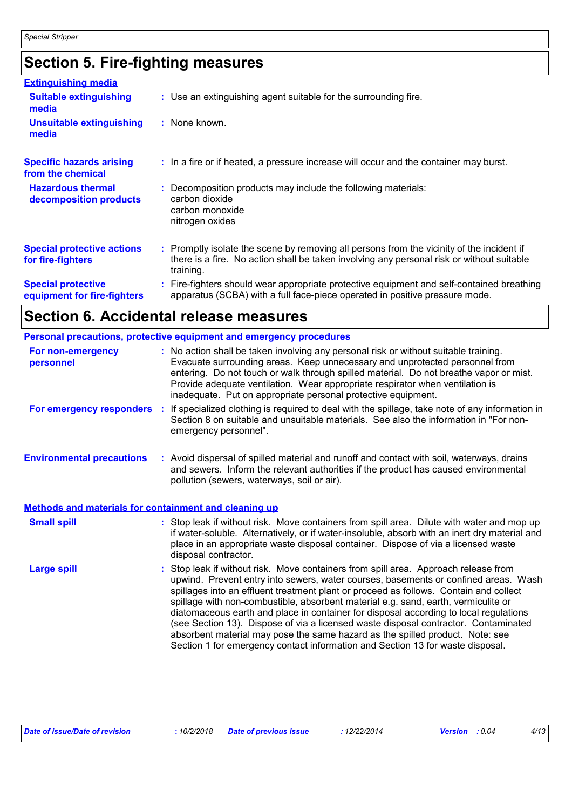## **Section 5. Fire-fighting measures**

| <b>Extinguishing media</b>                               |                                                                                                                                                                                                     |
|----------------------------------------------------------|-----------------------------------------------------------------------------------------------------------------------------------------------------------------------------------------------------|
| <b>Suitable extinguishing</b><br>media                   | : Use an extinguishing agent suitable for the surrounding fire.                                                                                                                                     |
| <b>Unsuitable extinguishing</b><br>media                 | : None known.                                                                                                                                                                                       |
| <b>Specific hazards arising</b><br>from the chemical     | : In a fire or if heated, a pressure increase will occur and the container may burst.                                                                                                               |
| <b>Hazardous thermal</b><br>decomposition products       | Decomposition products may include the following materials:<br>carbon dioxide<br>carbon monoxide<br>nitrogen oxides                                                                                 |
| <b>Special protective actions</b><br>for fire-fighters   | : Promptly isolate the scene by removing all persons from the vicinity of the incident if<br>there is a fire. No action shall be taken involving any personal risk or without suitable<br>training. |
| <b>Special protective</b><br>equipment for fire-fighters | Fire-fighters should wear appropriate protective equipment and self-contained breathing<br>apparatus (SCBA) with a full face-piece operated in positive pressure mode.                              |

### **Section 6. Accidental release measures**

| <b>Personal precautions, protective equipment and emergency procedures</b> |  |                                                                                                                                                                                                                                                                                                                                                                                                                                                                                                                                                                                                                                                                                                            |
|----------------------------------------------------------------------------|--|------------------------------------------------------------------------------------------------------------------------------------------------------------------------------------------------------------------------------------------------------------------------------------------------------------------------------------------------------------------------------------------------------------------------------------------------------------------------------------------------------------------------------------------------------------------------------------------------------------------------------------------------------------------------------------------------------------|
| For non-emergency<br>personnel                                             |  | : No action shall be taken involving any personal risk or without suitable training.<br>Evacuate surrounding areas. Keep unnecessary and unprotected personnel from<br>entering. Do not touch or walk through spilled material. Do not breathe vapor or mist.<br>Provide adequate ventilation. Wear appropriate respirator when ventilation is<br>inadequate. Put on appropriate personal protective equipment.                                                                                                                                                                                                                                                                                            |
| For emergency responders                                                   |  | : If specialized clothing is required to deal with the spillage, take note of any information in<br>Section 8 on suitable and unsuitable materials. See also the information in "For non-<br>emergency personnel".                                                                                                                                                                                                                                                                                                                                                                                                                                                                                         |
| <b>Environmental precautions</b>                                           |  | : Avoid dispersal of spilled material and runoff and contact with soil, waterways, drains<br>and sewers. Inform the relevant authorities if the product has caused environmental<br>pollution (sewers, waterways, soil or air).                                                                                                                                                                                                                                                                                                                                                                                                                                                                            |
| <b>Methods and materials for containment and cleaning up</b>               |  |                                                                                                                                                                                                                                                                                                                                                                                                                                                                                                                                                                                                                                                                                                            |
| <b>Small spill</b>                                                         |  | : Stop leak if without risk. Move containers from spill area. Dilute with water and mop up<br>if water-soluble. Alternatively, or if water-insoluble, absorb with an inert dry material and<br>place in an appropriate waste disposal container. Dispose of via a licensed waste<br>disposal contractor.                                                                                                                                                                                                                                                                                                                                                                                                   |
| <b>Large spill</b>                                                         |  | Stop leak if without risk. Move containers from spill area. Approach release from<br>upwind. Prevent entry into sewers, water courses, basements or confined areas. Wash<br>spillages into an effluent treatment plant or proceed as follows. Contain and collect<br>spillage with non-combustible, absorbent material e.g. sand, earth, vermiculite or<br>diatomaceous earth and place in container for disposal according to local regulations<br>(see Section 13). Dispose of via a licensed waste disposal contractor. Contaminated<br>absorbent material may pose the same hazard as the spilled product. Note: see<br>Section 1 for emergency contact information and Section 13 for waste disposal. |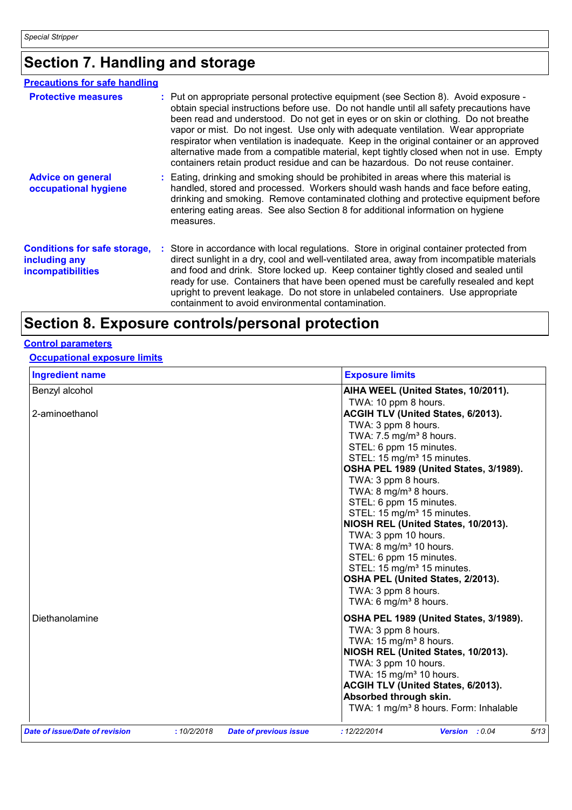## **Section 7. Handling and storage**

| <b>Precautions for safe handling</b>                                             |                                                                                                                                                                                                                                                                                                                                                                                                                                                                                                                                                                                                                                        |
|----------------------------------------------------------------------------------|----------------------------------------------------------------------------------------------------------------------------------------------------------------------------------------------------------------------------------------------------------------------------------------------------------------------------------------------------------------------------------------------------------------------------------------------------------------------------------------------------------------------------------------------------------------------------------------------------------------------------------------|
| <b>Protective measures</b>                                                       | : Put on appropriate personal protective equipment (see Section 8). Avoid exposure -<br>obtain special instructions before use. Do not handle until all safety precautions have<br>been read and understood. Do not get in eyes or on skin or clothing. Do not breathe<br>vapor or mist. Do not ingest. Use only with adequate ventilation. Wear appropriate<br>respirator when ventilation is inadequate. Keep in the original container or an approved<br>alternative made from a compatible material, kept tightly closed when not in use. Empty<br>containers retain product residue and can be hazardous. Do not reuse container. |
| <b>Advice on general</b><br>occupational hygiene                                 | : Eating, drinking and smoking should be prohibited in areas where this material is<br>handled, stored and processed. Workers should wash hands and face before eating,<br>drinking and smoking. Remove contaminated clothing and protective equipment before<br>entering eating areas. See also Section 8 for additional information on hygiene<br>measures.                                                                                                                                                                                                                                                                          |
| <b>Conditions for safe storage,</b><br>including any<br><b>incompatibilities</b> | : Store in accordance with local regulations. Store in original container protected from<br>direct sunlight in a dry, cool and well-ventilated area, away from incompatible materials<br>and food and drink. Store locked up. Keep container tightly closed and sealed until<br>ready for use. Containers that have been opened must be carefully resealed and kept<br>upright to prevent leakage. Do not store in unlabeled containers. Use appropriate<br>containment to avoid environmental contamination.                                                                                                                          |

### **Section 8. Exposure controls/personal protection**

### **Control parameters**

#### **Occupational exposure limits**

| <b>Ingredient name</b>         |            |                               | <b>Exposure limits</b>                                         |      |
|--------------------------------|------------|-------------------------------|----------------------------------------------------------------|------|
| Benzyl alcohol                 |            |                               | AIHA WEEL (United States, 10/2011).                            |      |
| 2-aminoethanol                 |            |                               | TWA: 10 ppm 8 hours.<br>ACGIH TLV (United States, 6/2013).     |      |
|                                |            |                               | TWA: 3 ppm 8 hours.                                            |      |
|                                |            |                               | TWA: 7.5 mg/m <sup>3</sup> 8 hours.<br>STEL: 6 ppm 15 minutes. |      |
|                                |            |                               | STEL: 15 mg/m <sup>3</sup> 15 minutes.                         |      |
|                                |            |                               | OSHA PEL 1989 (United States, 3/1989).                         |      |
|                                |            |                               | TWA: 3 ppm 8 hours.                                            |      |
|                                |            |                               | TWA: 8 mg/m <sup>3</sup> 8 hours.                              |      |
|                                |            |                               | STEL: 6 ppm 15 minutes.                                        |      |
|                                |            |                               | STEL: 15 mg/m <sup>3</sup> 15 minutes.                         |      |
|                                |            |                               | NIOSH REL (United States, 10/2013).<br>TWA: 3 ppm 10 hours.    |      |
|                                |            |                               | TWA: $8 \text{ mg/m}^3$ 10 hours.                              |      |
|                                |            |                               | STEL: 6 ppm 15 minutes.                                        |      |
|                                |            |                               | STEL: 15 mg/m <sup>3</sup> 15 minutes.                         |      |
|                                |            |                               | OSHA PEL (United States, 2/2013).                              |      |
|                                |            |                               | TWA: 3 ppm 8 hours.                                            |      |
|                                |            |                               | TWA: 6 mg/m <sup>3</sup> 8 hours.                              |      |
| Diethanolamine                 |            |                               | OSHA PEL 1989 (United States, 3/1989).                         |      |
|                                |            |                               | TWA: 3 ppm 8 hours.                                            |      |
|                                |            |                               | TWA: $15 \text{ mg/m}^3$ 8 hours.                              |      |
|                                |            |                               | NIOSH REL (United States, 10/2013).<br>TWA: 3 ppm 10 hours.    |      |
|                                |            |                               | TWA: $15 \text{ mg/m}^3$ 10 hours.                             |      |
|                                |            |                               | <b>ACGIH TLV (United States, 6/2013).</b>                      |      |
|                                |            |                               | Absorbed through skin.                                         |      |
|                                |            |                               | TWA: 1 mg/m <sup>3</sup> 8 hours. Form: Inhalable              |      |
| Date of issue/Date of revision | :10/2/2018 | <b>Date of previous issue</b> | : 12/22/2014<br>Version : 0.04                                 | 5/13 |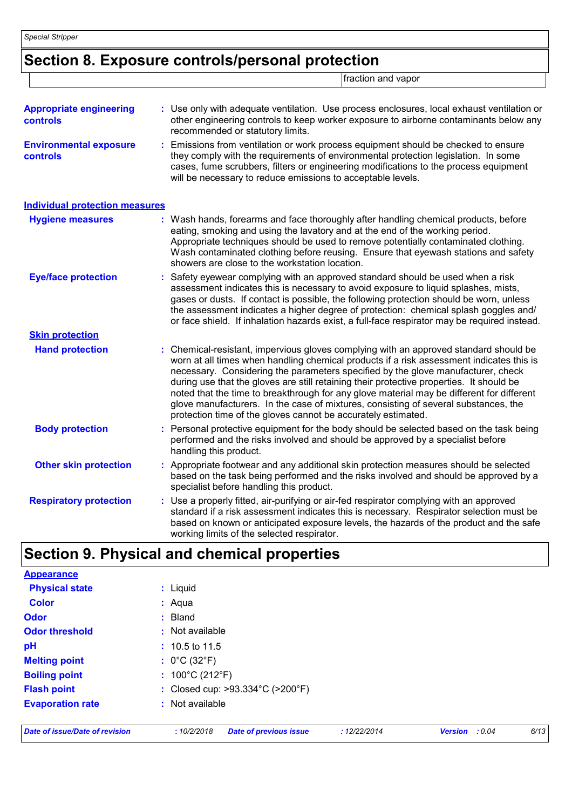### **Section 8. Exposure controls/personal protection**

fraction and vapor

| <b>Appropriate engineering</b><br>controls       | : Use only with adequate ventilation. Use process enclosures, local exhaust ventilation or<br>other engineering controls to keep worker exposure to airborne contaminants below any<br>recommended or statutory limits.                                                                                                                                                                                                                                                                                                                                                                                              |
|--------------------------------------------------|----------------------------------------------------------------------------------------------------------------------------------------------------------------------------------------------------------------------------------------------------------------------------------------------------------------------------------------------------------------------------------------------------------------------------------------------------------------------------------------------------------------------------------------------------------------------------------------------------------------------|
| <b>Environmental exposure</b><br><b>controls</b> | Emissions from ventilation or work process equipment should be checked to ensure<br>they comply with the requirements of environmental protection legislation. In some<br>cases, fume scrubbers, filters or engineering modifications to the process equipment<br>will be necessary to reduce emissions to acceptable levels.                                                                                                                                                                                                                                                                                        |
| <b>Individual protection measures</b>            |                                                                                                                                                                                                                                                                                                                                                                                                                                                                                                                                                                                                                      |
| <b>Hygiene measures</b>                          | : Wash hands, forearms and face thoroughly after handling chemical products, before<br>eating, smoking and using the lavatory and at the end of the working period.<br>Appropriate techniques should be used to remove potentially contaminated clothing.<br>Wash contaminated clothing before reusing. Ensure that eyewash stations and safety<br>showers are close to the workstation location.                                                                                                                                                                                                                    |
| <b>Eye/face protection</b>                       | Safety eyewear complying with an approved standard should be used when a risk<br>assessment indicates this is necessary to avoid exposure to liquid splashes, mists,<br>gases or dusts. If contact is possible, the following protection should be worn, unless<br>the assessment indicates a higher degree of protection: chemical splash goggles and/<br>or face shield. If inhalation hazards exist, a full-face respirator may be required instead.                                                                                                                                                              |
| <b>Skin protection</b>                           |                                                                                                                                                                                                                                                                                                                                                                                                                                                                                                                                                                                                                      |
| <b>Hand protection</b>                           | Chemical-resistant, impervious gloves complying with an approved standard should be<br>worn at all times when handling chemical products if a risk assessment indicates this is<br>necessary. Considering the parameters specified by the glove manufacturer, check<br>during use that the gloves are still retaining their protective properties. It should be<br>noted that the time to breakthrough for any glove material may be different for different<br>glove manufacturers. In the case of mixtures, consisting of several substances, the<br>protection time of the gloves cannot be accurately estimated. |
| <b>Body protection</b>                           | Personal protective equipment for the body should be selected based on the task being<br>performed and the risks involved and should be approved by a specialist before<br>handling this product.                                                                                                                                                                                                                                                                                                                                                                                                                    |
| <b>Other skin protection</b>                     | Appropriate footwear and any additional skin protection measures should be selected<br>based on the task being performed and the risks involved and should be approved by a<br>specialist before handling this product.                                                                                                                                                                                                                                                                                                                                                                                              |
| <b>Respiratory protection</b>                    | Use a properly fitted, air-purifying or air-fed respirator complying with an approved<br>standard if a risk assessment indicates this is necessary. Respirator selection must be<br>based on known or anticipated exposure levels, the hazards of the product and the safe<br>working limits of the selected respirator.                                                                                                                                                                                                                                                                                             |

### **Section 9. Physical and chemical properties**

| <b>Appearance</b>       |                                      |
|-------------------------|--------------------------------------|
| <b>Physical state</b>   | : Liquid                             |
| <b>Color</b>            | : Aqua                               |
| <b>Odor</b>             | : Bland                              |
| <b>Odor threshold</b>   | : Not available                      |
| pH                      | $: 10.5$ to 11.5                     |
| <b>Melting point</b>    | : $0^{\circ}$ C (32 $^{\circ}$ F)    |
| <b>Boiling point</b>    | : $100^{\circ}$ C (212 $^{\circ}$ F) |
| <b>Flash point</b>      | : Closed cup: >93.334°C (>200°F)     |
| <b>Evaporation rate</b> | : Not available                      |
|                         |                                      |

*Date of issue/Date of revision* **:** *10/2/2018 Date of previous issue : 12/22/2014 Version : 0.04 6/13*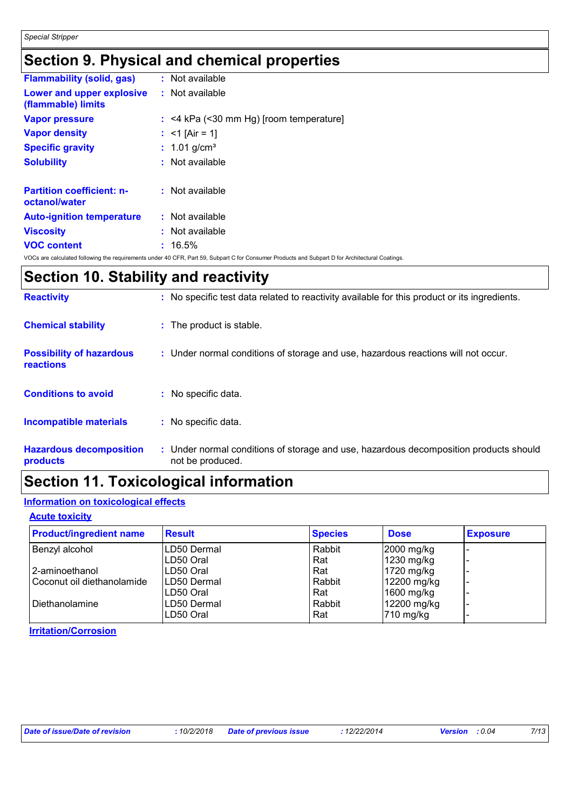### **Section 9. Physical and chemical properties**

| <b>Flammability (solid, gas)</b>                  | : Not available                           |
|---------------------------------------------------|-------------------------------------------|
| Lower and upper explosive<br>(flammable) limits   | $:$ Not available                         |
| <b>Vapor pressure</b>                             | $:$ <4 kPa (<30 mm Hg) [room temperature] |
| <b>Vapor density</b>                              | : <1 [Air = 1]                            |
| <b>Specific gravity</b>                           | : $1.01$ g/cm <sup>3</sup>                |
| <b>Solubility</b>                                 | $:$ Not available                         |
| <b>Partition coefficient: n-</b><br>octanol/water | $:$ Not available                         |
| <b>Auto-ignition temperature</b>                  | $:$ Not available                         |
| <b>Viscosity</b>                                  | : Not available                           |
| <b>VOC content</b>                                | $: 16.5\%$                                |

VOCs are calculated following the requirements under 40 CFR, Part 59, Subpart C for Consumer Products and Subpart D for Architectural Coatings.

### **Section 10. Stability and reactivity**

| <b>Reactivity</b>                            | : No specific test data related to reactivity available for this product or its ingredients.              |
|----------------------------------------------|-----------------------------------------------------------------------------------------------------------|
| <b>Chemical stability</b>                    | : The product is stable.                                                                                  |
| <b>Possibility of hazardous</b><br>reactions | : Under normal conditions of storage and use, hazardous reactions will not occur.                         |
| <b>Conditions to avoid</b>                   | : No specific data.                                                                                       |
| <b>Incompatible materials</b>                | : No specific data.                                                                                       |
| <b>Hazardous decomposition</b><br>products   | : Under normal conditions of storage and use, hazardous decomposition products should<br>not be produced. |

### **Section 11. Toxicological information**

#### **Information on toxicological effects**

#### **Acute toxicity**

| <b>Product/ingredient name</b> | <b>Result</b> | <b>Species</b> | <b>Dose</b>  | <b>Exposure</b> |
|--------------------------------|---------------|----------------|--------------|-----------------|
| Benzyl alcohol                 | LD50 Dermal   | Rabbit         | $2000$ mg/kg |                 |
|                                | LD50 Oral     | Rat            | 1230 mg/kg   |                 |
| l 2-aminoethanol               | LD50 Oral     | Rat            | 1720 mg/kg   |                 |
| Coconut oil diethanolamide     | ILD50 Dermal  | Rabbit         | 12200 mg/kg  |                 |
|                                | LD50 Oral     | Rat            | 1600 mg/kg   |                 |
| Diethanolamine                 | LD50 Dermal   | Rabbit         | 12200 mg/kg  |                 |
|                                | LD50 Oral     | Rat            | 710 mg/kg    |                 |

**Irritation/Corrosion**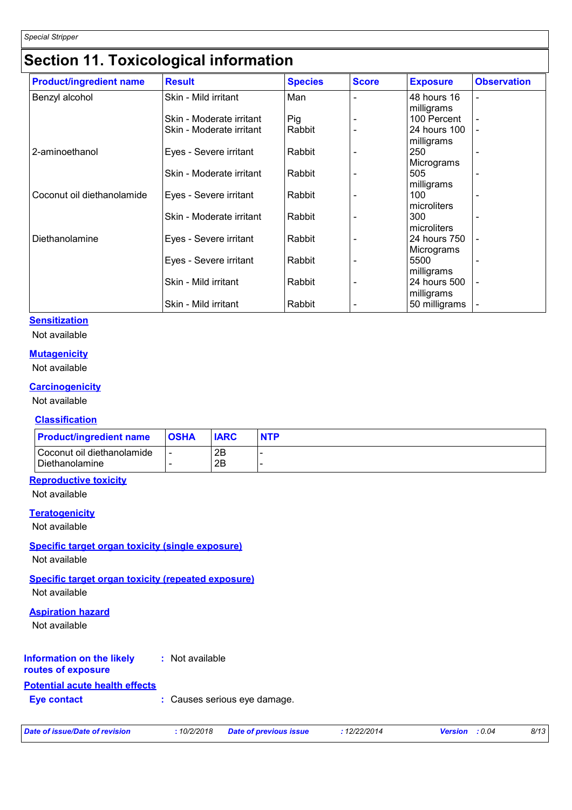### **Section 11. Toxicological information**

| <b>Product/ingredient name</b> | <b>Result</b>            | <b>Species</b> | <b>Score</b> | <b>Exposure</b>            | <b>Observation</b> |
|--------------------------------|--------------------------|----------------|--------------|----------------------------|--------------------|
| Benzyl alcohol                 | Skin - Mild irritant     | Man            |              | 48 hours 16<br>milligrams  | $\blacksquare$     |
|                                | Skin - Moderate irritant | Pig            |              | 100 Percent                |                    |
|                                | Skin - Moderate irritant | Rabbit         |              | 24 hours 100<br>milligrams |                    |
| 2-aminoethanol                 | Eyes - Severe irritant   | Rabbit         |              | 250<br>Micrograms          |                    |
|                                | Skin - Moderate irritant | Rabbit         |              | 505<br>milligrams          | ٠                  |
| Coconut oil diethanolamide     | Eyes - Severe irritant   | Rabbit         |              | 100<br>microliters         |                    |
|                                | Skin - Moderate irritant | Rabbit         |              | 300<br>microliters         |                    |
| Diethanolamine                 | Eyes - Severe irritant   | Rabbit         |              | 24 hours 750<br>Micrograms | Ĭ.                 |
|                                | Eyes - Severe irritant   | Rabbit         |              | 5500<br>milligrams         |                    |
|                                | Skin - Mild irritant     | Rabbit         |              | 24 hours 500<br>milligrams |                    |
|                                | Skin - Mild irritant     | Rabbit         |              | 50 milligrams              | ÷                  |

#### **Sensitization**

Not available

#### **Mutagenicity**

Not available

#### **Carcinogenicity**

Not available

#### **Classification**

| <b>Product/ingredient name</b>                   | <b>OSHA</b> | <b>IARC</b> | <b>NTP</b> |
|--------------------------------------------------|-------------|-------------|------------|
| l Coconut oil diethanolamide<br>l Diethanolamine |             | 2B<br>2Β    |            |

#### **Reproductive toxicity**

Not available

#### **Teratogenicity**

Not available

#### **Specific target organ toxicity (single exposure)**

Not available

#### **Specific target organ toxicity (repeated exposure)**

Not available

#### **Aspiration hazard**

Not available

#### **Information on the likely :** Not available

#### **routes of exposure**

#### **Potential acute health effects**

**Eye contact :** Causes serious eye damage.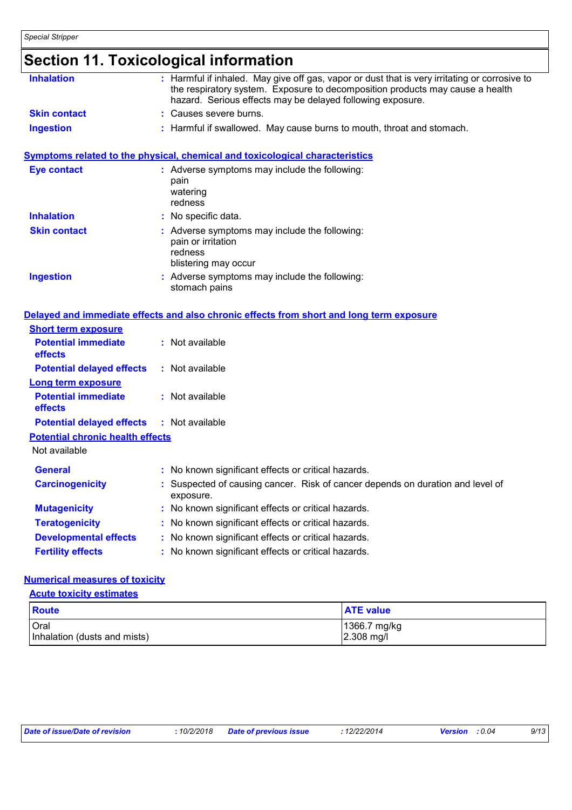|                                                                    | <b>Section 11. Toxicological information</b>                                                                                                                                                                                                 |
|--------------------------------------------------------------------|----------------------------------------------------------------------------------------------------------------------------------------------------------------------------------------------------------------------------------------------|
| <b>Inhalation</b>                                                  | : Harmful if inhaled. May give off gas, vapor or dust that is very irritating or corrosive to<br>the respiratory system. Exposure to decomposition products may cause a health<br>hazard. Serious effects may be delayed following exposure. |
| <b>Skin contact</b>                                                | : Causes severe burns.                                                                                                                                                                                                                       |
| <b>Ingestion</b>                                                   | : Harmful if swallowed. May cause burns to mouth, throat and stomach.                                                                                                                                                                        |
|                                                                    | <b>Symptoms related to the physical, chemical and toxicological characteristics</b>                                                                                                                                                          |
| <b>Eye contact</b>                                                 | : Adverse symptoms may include the following:<br>pain<br>watering<br>redness                                                                                                                                                                 |
| <b>Inhalation</b>                                                  | : No specific data.                                                                                                                                                                                                                          |
| <b>Skin contact</b>                                                | : Adverse symptoms may include the following:<br>pain or irritation<br>redness<br>blistering may occur                                                                                                                                       |
| <b>Ingestion</b>                                                   | : Adverse symptoms may include the following:<br>stomach pains                                                                                                                                                                               |
| <b>Short term exposure</b>                                         | Delayed and immediate effects and also chronic effects from short and long term exposure                                                                                                                                                     |
| <b>Potential immediate</b><br>effects                              | : Not available                                                                                                                                                                                                                              |
| <b>Potential delayed effects</b>                                   | : Not available                                                                                                                                                                                                                              |
| <b>Long term exposure</b><br><b>Potential immediate</b><br>effects | : Not available                                                                                                                                                                                                                              |
| <b>Potential delayed effects</b>                                   | : Not available                                                                                                                                                                                                                              |
| <b>Potential chronic health effects</b>                            |                                                                                                                                                                                                                                              |
| Not available                                                      |                                                                                                                                                                                                                                              |
| <b>General</b>                                                     | : No known significant effects or critical hazards.                                                                                                                                                                                          |
| <b>Carcinogenicity</b>                                             | : Suspected of causing cancer. Risk of cancer depends on duration and level of<br>exposure.                                                                                                                                                  |
| <b>Mutagenicity</b>                                                | No known significant effects or critical hazards.                                                                                                                                                                                            |
| <b>Teratogenicity</b>                                              | No known significant effects or critical hazards.                                                                                                                                                                                            |
| <b>Developmental effects</b>                                       | No known significant effects or critical hazards.                                                                                                                                                                                            |
| <b>Fertility effects</b>                                           | No known significant effects or critical hazards.                                                                                                                                                                                            |

### **Numerical measures of toxicity**

| <b>Acute toxicity estimates</b>             |                            |  |  |  |
|---------------------------------------------|----------------------------|--|--|--|
| Route                                       | <b>ATE value</b>           |  |  |  |
| <b>Oral</b><br>Inhalation (dusts and mists) | 1366.7 mg/kg<br>2.308 mg/l |  |  |  |

| Date of issue/Date of revision |  |
|--------------------------------|--|
|                                |  |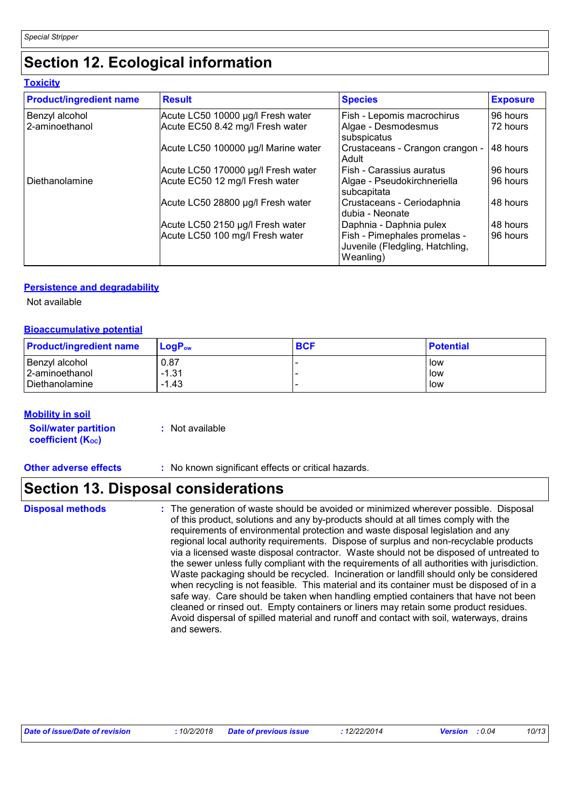### **Section 12. Ecological information**

| <b>Toxicity</b>                  |                                                                       |                                                                              |                      |
|----------------------------------|-----------------------------------------------------------------------|------------------------------------------------------------------------------|----------------------|
| <b>Product/ingredient name</b>   | <b>Result</b>                                                         | <b>Species</b>                                                               | <b>Exposure</b>      |
| Benzyl alcohol<br>2-aminoethanol | Acute LC50 10000 µg/l Fresh water<br>Acute EC50 8.42 mg/l Fresh water | Fish - Lepomis macrochirus<br>Algae - Desmodesmus<br>subspicatus             | 96 hours<br>72 hours |
|                                  | Acute LC50 100000 µg/l Marine water                                   | Crustaceans - Crangon crangon -<br>Adult                                     | 48 hours             |
|                                  | Acute LC50 170000 µg/l Fresh water                                    | Fish - Carassius auratus                                                     | 96 hours             |
| Diethanolamine                   | Acute EC50 12 mg/l Fresh water                                        | Algae - Pseudokirchneriella<br>subcapitata                                   | 96 hours             |
|                                  | Acute LC50 28800 µg/l Fresh water                                     | Crustaceans - Ceriodaphnia<br>dubia - Neonate                                | 48 hours             |
|                                  | Acute LC50 2150 µg/l Fresh water                                      | Daphnia - Daphnia pulex                                                      | 48 hours             |
|                                  | Acute LC50 100 mg/l Fresh water                                       | Fish - Pimephales promelas -<br>Juvenile (Fledgling, Hatchling,<br>Weanling) | 96 hours             |

#### **Persistence and degradability**

Not available

#### **Bioaccumulative potential**

| <b>Product/ingredient name</b> | LogP <sub>ow</sub> | <b>BCF</b> | <b>Potential</b> |
|--------------------------------|--------------------|------------|------------------|
| Benzyl alcohol                 | 0.87               |            | low              |
| 2-aminoethanol                 | $-1.31$            |            | low              |
| Diethanolamine                 | $-1.43$            |            | low              |

#### **Mobility in soil**

| <b>Soil/water partition</b> | : Not available |
|-----------------------------|-----------------|
| <b>coefficient (Koc)</b>    |                 |

**Other adverse effects** : No known significant effects or critical hazards.

### **Section 13. Disposal considerations**

**Disposal methods :**

The generation of waste should be avoided or minimized wherever possible. Disposal of this product, solutions and any by-products should at all times comply with the requirements of environmental protection and waste disposal legislation and any regional local authority requirements. Dispose of surplus and non-recyclable products via a licensed waste disposal contractor. Waste should not be disposed of untreated to the sewer unless fully compliant with the requirements of all authorities with jurisdiction. Waste packaging should be recycled. Incineration or landfill should only be considered when recycling is not feasible. This material and its container must be disposed of in a safe way. Care should be taken when handling emptied containers that have not been cleaned or rinsed out. Empty containers or liners may retain some product residues. Avoid dispersal of spilled material and runoff and contact with soil, waterways, drains and sewers.

| Date of issue/Date of revision | : 10/2/2018 Date of previous issue | · 12/22/2014 | <b>Version</b> : 0.04 | 10/13 |
|--------------------------------|------------------------------------|--------------|-----------------------|-------|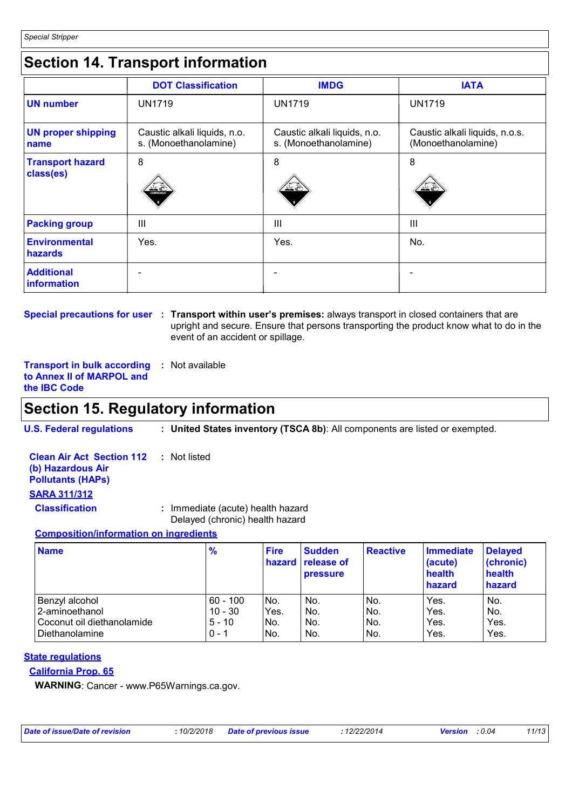### **Section 14. Transport information**

|                                      | <b>DOT Classification</b>                             | <b>IMDG</b>                                           | <b>IATA</b>                                          |
|--------------------------------------|-------------------------------------------------------|-------------------------------------------------------|------------------------------------------------------|
| <b>UN number</b>                     | <b>UN1719</b>                                         | <b>UN1719</b>                                         | <b>UN1719</b>                                        |
| <b>UN proper shipping</b><br>name    | Caustic alkali liquids, n.o.<br>s. (Monoethanolamine) | Caustic alkali liquids, n.o.<br>s. (Monoethanolamine) | Caustic alkali liquids, n.o.s.<br>(Monoethanolamine) |
| <b>Transport hazard</b><br>class(es) | 8<br>CORROSIVE                                        | 8<br>ے گند                                            | 8<br>≚≚∈                                             |
| <b>Packing group</b>                 | $\mathbf{III}$                                        | III                                                   | Ш                                                    |
| <b>Environmental</b><br>hazards      | Yes.                                                  | Yes.                                                  | No.                                                  |
| <b>Additional</b><br>information     |                                                       |                                                       |                                                      |

**Special precautions for user Transport within user's premises:** always transport in closed containers that are **:** upright and secure. Ensure that persons transporting the product know what to do in the event of an accident or spillage.

**Transport in bulk according :** Not available **to Annex II of MARPOL and the IBC Code**

### **Section 15. Regulatory information**

**U.S. Federal regulations : United States inventory (TSCA 8b)**: All components are listed or exempted.

**Clean Air Act Section 112 (b) Hazardous Air Pollutants (HAPs) :** Not listed **SARA 311/312 Classification :** Immediate (acute) health hazard

Delayed (chronic) health hazard

#### **Composition/information on ingredients**

| <b>Name</b>                | $\frac{9}{6}$ | <b>Fire</b> | <b>Sudden</b><br>hazard release of<br><b>pressure</b> | <b>Reactive</b> | <b>Immediate</b><br>(acute)<br>health<br>hazard | <b>Delayed</b><br>(chronic)<br>health<br>hazard |
|----------------------------|---------------|-------------|-------------------------------------------------------|-----------------|-------------------------------------------------|-------------------------------------------------|
| Benzyl alcohol             | $60 - 100$    | INo.        | No.                                                   | No.             | Yes.                                            | No.                                             |
| 2-aminoethanol             | $10 - 30$     | Yes.        | No.                                                   | No.             | Yes.                                            | No.                                             |
| Coconut oil diethanolamide | $5 - 10$      | No.         | No.                                                   | No.             | Yes.                                            | Yes.                                            |
| l Diethanolamine           | $0 - 1$       | INo.        | No.                                                   | No.             | Yes.                                            | Yes.                                            |

### **State regulations**

#### **California Prop. 65**

**WARNING**: Cancer - www.P65Warnings.ca.gov.

|  |  | Date of issue/Date of revision |  |
|--|--|--------------------------------|--|
|  |  |                                |  |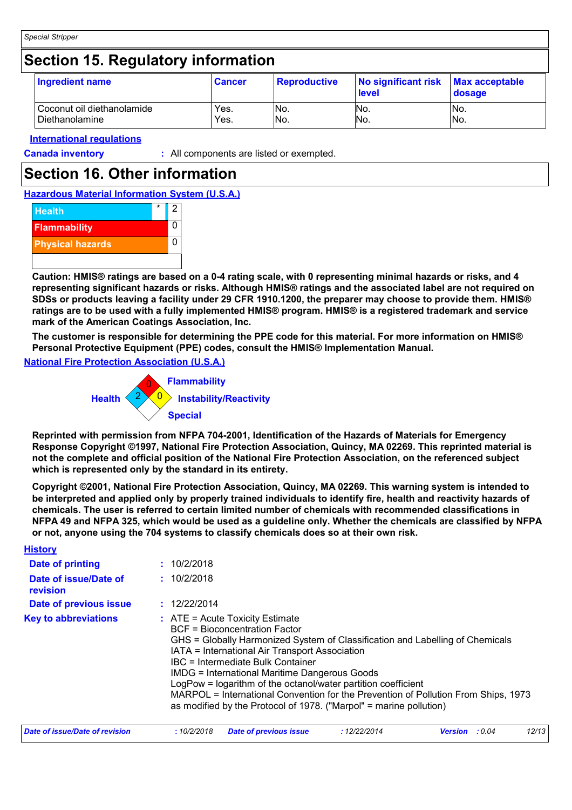### **Section 15. Regulatory information**

| Ingredient name            | <b>Cancer</b> | <b>Reproductive</b> | No significant risk<br><b>I</b> evel | <b>Max acceptable</b><br>dosage |
|----------------------------|---------------|---------------------|--------------------------------------|---------------------------------|
| Coconut oil diethanolamide | Yes.          | INo.                | No.                                  | INo.                            |
| Diethanolamine             | Yes.          | No.                 | No.                                  | No.                             |

#### **International regulations**

**Canada inventory :** All components are listed or exempted.

### **Section 16. Other information**

**Hazardous Material Information System (U.S.A.)**



**Caution: HMIS® ratings are based on a 0-4 rating scale, with 0 representing minimal hazards or risks, and 4 representing significant hazards or risks. Although HMIS® ratings and the associated label are not required on SDSs or products leaving a facility under 29 CFR 1910.1200, the preparer may choose to provide them. HMIS® ratings are to be used with a fully implemented HMIS® program. HMIS® is a registered trademark and service mark of the American Coatings Association, Inc.**

**The customer is responsible for determining the PPE code for this material. For more information on HMIS® Personal Protective Equipment (PPE) codes, consult the HMIS® Implementation Manual.**

#### **National Fire Protection Association (U.S.A.)**



**Reprinted with permission from NFPA 704-2001, Identification of the Hazards of Materials for Emergency Response Copyright ©1997, National Fire Protection Association, Quincy, MA 02269. This reprinted material is not the complete and official position of the National Fire Protection Association, on the referenced subject which is represented only by the standard in its entirety.**

**Copyright ©2001, National Fire Protection Association, Quincy, MA 02269. This warning system is intended to be interpreted and applied only by properly trained individuals to identify fire, health and reactivity hazards of chemicals. The user is referred to certain limited number of chemicals with recommended classifications in NFPA 49 and NFPA 325, which would be used as a guideline only. Whether the chemicals are classified by NFPA or not, anyone using the 704 systems to classify chemicals does so at their own risk.**

| <b>History</b>                    |                                                                                                                                                                                                                                                                                                                                                                                                                                                                                                                                                 |                        |              |                |        |       |  |
|-----------------------------------|-------------------------------------------------------------------------------------------------------------------------------------------------------------------------------------------------------------------------------------------------------------------------------------------------------------------------------------------------------------------------------------------------------------------------------------------------------------------------------------------------------------------------------------------------|------------------------|--------------|----------------|--------|-------|--|
| Date of printing                  | : 10/2/2018                                                                                                                                                                                                                                                                                                                                                                                                                                                                                                                                     |                        |              |                |        |       |  |
| Date of issue/Date of<br>revision | : 10/2/2018                                                                                                                                                                                                                                                                                                                                                                                                                                                                                                                                     |                        |              |                |        |       |  |
| Date of previous issue            | : 12/22/2014                                                                                                                                                                                                                                                                                                                                                                                                                                                                                                                                    |                        |              |                |        |       |  |
| <b>Key to abbreviations</b>       | $\therefore$ ATE = Acute Toxicity Estimate<br><b>BCF</b> = Bioconcentration Factor<br>GHS = Globally Harmonized System of Classification and Labelling of Chemicals<br>IATA = International Air Transport Association<br>IBC = Intermediate Bulk Container<br><b>IMDG = International Maritime Dangerous Goods</b><br>LogPow = logarithm of the octanol/water partition coefficient<br>MARPOL = International Convention for the Prevention of Pollution From Ships, 1973<br>as modified by the Protocol of 1978. ("Marpol" = marine pollution) |                        |              |                |        |       |  |
| Date of issue/Date of revision    | :10/2/2018                                                                                                                                                                                                                                                                                                                                                                                                                                                                                                                                      | Date of previous issue | : 12/22/2014 | <b>Version</b> | : 0.04 | 12/13 |  |